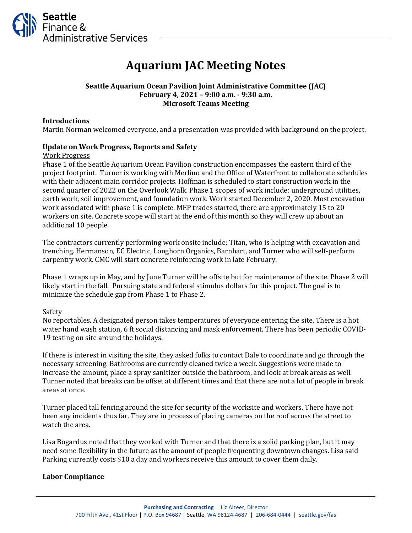

# **Aquarium JAC Meeting Notes**

## **Seattle Aquarium Ocean Pavilion Joint Administrative Committee (JAC) February 4, 2021 – 9:00 a.m. - 9:30 a.m. Microsoft Teams Meeting**

### **Introductions**

Martin Norman welcomed everyone, and a presentation was provided with background on the project.

#### **Update on Work Progress, Reports and Safety**

Work Progress

Phase 1 of the Seattle Aquarium Ocean Pavilion construction encompasses the eastern third of the project footprint. Turner is working with Merlino and the Office of Waterfront to collaborate schedules with their adjacent main corridor projects. Hoffman is scheduled to start construction work in the second quarter of 2022 on the Overlook Walk. Phase 1 scopes of work include: underground utilities, earth work, soil improvement, and foundation work. Work started December 2, 2020. Most excavation work associated with phase 1 is complete. MEP trades started, there are approximately 15 to 20 workers on site. Concrete scope will start at the end of this month so they will crew up about an additional 10 people.

The contractors currently performing work onsite include: Titan, who is helping with excavation and trenching. Hermanson, EC Electric, Longhorn Organics, Barnhart, and Turner who will self-perform carpentry work. CMC will start concrete reinforcing work in late February.

Phase 1 wraps up in May, and by June Turner will be offsite but for maintenance of the site. Phase 2 will likely start in the fall. Pursuing state and federal stimulus dollars for this project. The goal is to minimize the schedule gap from Phase 1 to Phase 2.

#### **Safety**

No reportables. A designated person takes temperatures of everyone entering the site. There is a hot water hand wash station, 6 ft social distancing and mask enforcement. There has been periodic COVID-19 testing on site around the holidays.

If there is interest in visiting the site, they asked folks to contact Dale to coordinate and go through the necessary screening. Bathrooms are currently cleaned twice a week. Suggestions were made to increase the amount, place a spray sanitizer outside the bathroom, and look at break areas as well. Turner noted that breaks can be offset at different times and that there are not a lot of people in break areas at once.

Turner placed tall fencing around the site for security of the worksite and workers. There have not been any incidents thus far. They are in process of placing cameras on the roof across the street to watch the area.

Lisa Bogardus noted that they worked with Turner and that there is a solid parking plan, but it may need some flexibility in the future as the amount of people frequenting downtown changes. Lisa said Parking currently costs \$10 a day and workers receive this amount to cover them daily.

#### **Labor Compliance**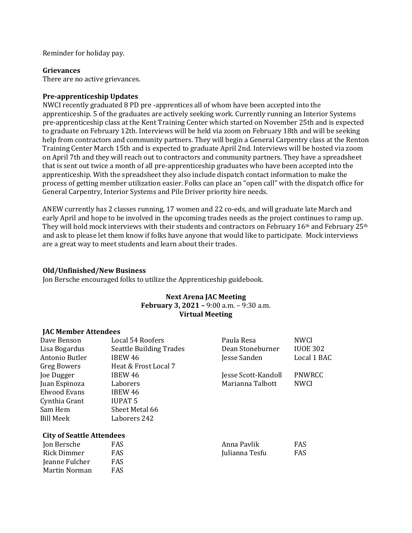Reminder for holiday pay.

#### **Grievances**

There are no active grievances.

#### **Pre-apprenticeship Updates**

NWCI recently graduated 8 PD pre -apprentices all of whom have been accepted into the apprenticeship. 5 of the graduates are actively seeking work. Currently running an Interior Systems pre-apprenticeship class at the Kent Training Center which started on November 25th and is expected to graduate on February 12th. Interviews will be held via zoom on February 18th and will be seeking help from contractors and community partners. They will begin a General Carpentry class at the Renton Training Center March 15th and is expected to graduate April 2nd. Interviews will be hosted via zoom on April 7th and they will reach out to contractors and community partners. They have a spreadsheet that is sent out twice a month of all pre-apprenticeship graduates who have been accepted into the apprenticeship. With the spreadsheet they also include dispatch contact information to make the process of getting member utilization easier. Folks can place an "open call" with the dispatch office for General Carpentry, Interior Systems and Pile Driver priority hire needs.

ANEW currently has 2 classes running, 17 women and 22 co-eds, and will graduate late March and early April and hope to be involved in the upcoming trades needs as the project continues to ramp up. They will hold mock interviews with their students and contractors on February  $16<sup>th</sup>$  and February  $25<sup>th</sup>$ and ask to please let them know if folks have anyone that would like to participate. Mock interviews are a great way to meet students and learn about their trades.

#### **Old/Unfinished/New Business**

Jon Bersche encouraged folks to utilize the Apprenticeship guidebook.

#### **Next Arena JAC Meeting February 3, 2021 –** 9:00 a.m. – 9:30 a.m. **Virtual Meeting**

#### **JAC Member Attendees**

| Dave Benson                      | Local 54 Roofers               | Paula Resa          | <b>NWCI</b>     |
|----------------------------------|--------------------------------|---------------------|-----------------|
| Lisa Bogardus                    | <b>Seattle Building Trades</b> | Dean Stoneburner    | <b>IUOE 302</b> |
| Antonio Butler                   | IBEW 46                        | Jesse Sanden        | Local 1 BAC     |
| <b>Greg Bowers</b>               | Heat & Frost Local 7           |                     |                 |
| Joe Dugger                       | IBEW 46                        | Jesse Scott-Kandoll | PNWRCC          |
| Juan Espinoza                    | Laborers                       | Marianna Talbott    | <b>NWCI</b>     |
| Elwood Evans                     | IBEW 46                        |                     |                 |
| Cynthia Grant                    | <b>IUPAT 5</b>                 |                     |                 |
| Sam Hem                          | Sheet Metal 66                 |                     |                 |
| Bill Meek                        | Laborers 242                   |                     |                 |
| <b>City of Seattle Attendees</b> |                                |                     |                 |
| Jon Bersche                      | FAS                            | Anna Pavlik         | FAS             |
| Rick Dimmer                      | FAS                            | Julianna Tesfu      | FAS             |
| Jeanne Fulcher                   | FAS                            |                     |                 |
| Martin Norman                    | <b>FAS</b>                     |                     |                 |
|                                  |                                |                     |                 |